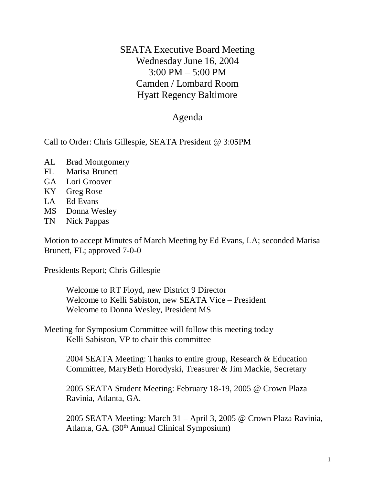SEATA Executive Board Meeting Wednesday June 16, 2004 3:00 PM – 5:00 PM Camden / Lombard Room Hyatt Regency Baltimore

## Agenda

Call to Order: Chris Gillespie, SEATA President @ 3:05PM

- AL Brad Montgomery
- FL Marisa Brunett
- GA Lori Groover
- KY Greg Rose
- LA Ed Evans
- MS Donna Wesley
- TN Nick Pappas

Motion to accept Minutes of March Meeting by Ed Evans, LA; seconded Marisa Brunett, FL; approved 7-0-0

Presidents Report; Chris Gillespie

Welcome to RT Floyd, new District 9 Director Welcome to Kelli Sabiston, new SEATA Vice – President Welcome to Donna Wesley, President MS

Meeting for Symposium Committee will follow this meeting today Kelli Sabiston, VP to chair this committee

2004 SEATA Meeting: Thanks to entire group, Research & Education Committee, MaryBeth Horodyski, Treasurer & Jim Mackie, Secretary

2005 SEATA Student Meeting: February 18-19, 2005 @ Crown Plaza Ravinia, Atlanta, GA.

2005 SEATA Meeting: March 31 – April 3, 2005 @ Crown Plaza Ravinia, Atlanta, GA. (30<sup>th</sup> Annual Clinical Symposium)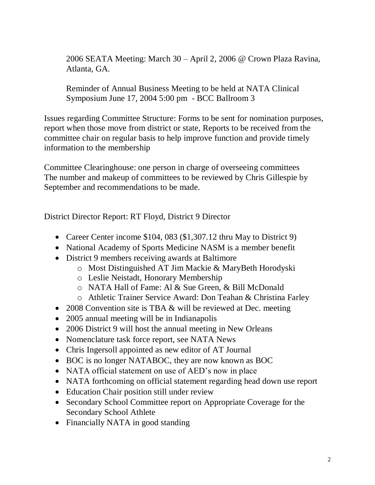2006 SEATA Meeting: March 30 – April 2, 2006 @ Crown Plaza Ravina, Atlanta, GA.

Reminder of Annual Business Meeting to be held at NATA Clinical Symposium June 17, 2004 5:00 pm - BCC Ballroom 3

Issues regarding Committee Structure: Forms to be sent for nomination purposes, report when those move from district or state, Reports to be received from the committee chair on regular basis to help improve function and provide timely information to the membership

Committee Clearinghouse: one person in charge of overseeing committees The number and makeup of committees to be reviewed by Chris Gillespie by September and recommendations to be made.

District Director Report: RT Floyd, District 9 Director

- Career Center income \$104, 083 (\$1,307.12 thru May to District 9)
- National Academy of Sports Medicine NASM is a member benefit
- District 9 members receiving awards at Baltimore
	- o Most Distinguished AT Jim Mackie & MaryBeth Horodyski
	- o Leslie Neistadt, Honorary Membership
	- o NATA Hall of Fame: Al & Sue Green, & Bill McDonald
	- o Athletic Trainer Service Award: Don Teahan & Christina Farley
- 2008 Convention site is TBA & will be reviewed at Dec. meeting
- 2005 annual meeting will be in Indianapolis
- 2006 District 9 will host the annual meeting in New Orleans
- Nomenclature task force report, see NATA News
- Chris Ingersoll appointed as new editor of AT Journal
- BOC is no longer NATABOC, they are now known as BOC
- NATA official statement on use of AED's now in place
- NATA forthcoming on official statement regarding head down use report
- Education Chair position still under review
- Secondary School Committee report on Appropriate Coverage for the Secondary School Athlete
- Financially NATA in good standing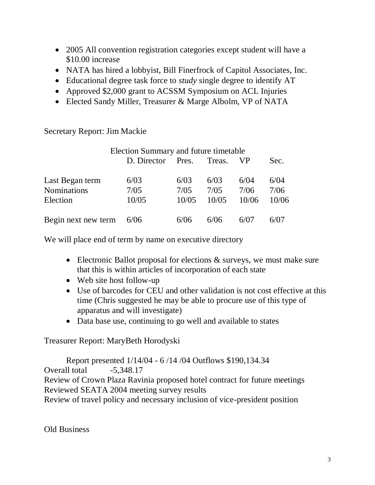- 2005 All convention registration categories except student will have a \$10.00 increase
- NATA has hired a lobbyist, Bill Finerfrock of Capitol Associates, Inc.
- Educational degree task force to *study* single degree to identify AT
- Approved \$2,000 grant to ACSSM Symposium on ACL Injuries
- Elected Sandy Miller, Treasurer & Marge Albolm, VP of NATA

Secretary Report: Jim Mackie

|                     | Election Summary and future timetable |       |        |       |       |
|---------------------|---------------------------------------|-------|--------|-------|-------|
|                     | D. Director                           | Pres. | Treas. | VP.   | Sec.  |
|                     |                                       |       |        |       |       |
| Last Began term     | 6/03                                  | 6/03  | 6/03   | 6/04  | 6/04  |
| <b>Nominations</b>  | 7/05                                  | 7/05  | 7/05   | 7/06  | 7/06  |
| Election            | 10/05                                 | 10/05 | 10/05  | 10/06 | 10/06 |
|                     |                                       |       |        |       |       |
| Begin next new term | 6/06                                  | 6/06  | 6/06   | 6/07  | 6/07  |

We will place end of term by name on executive directory

- Electronic Ballot proposal for elections  $\&$  surveys, we must make sure that this is within articles of incorporation of each state
- Web site host follow-up
- Use of barcodes for CEU and other validation is not cost effective at this time (Chris suggested he may be able to procure use of this type of apparatus and will investigate)
- Data base use, continuing to go well and available to states

Treasurer Report: MaryBeth Horodyski

Report presented 1/14/04 - 6 /14 /04 Outflows \$190,134.34 Overall total  $-5,348.17$ Review of Crown Plaza Ravinia proposed hotel contract for future meetings Reviewed SEATA 2004 meeting survey results Review of travel policy and necessary inclusion of vice-president position

Old Business